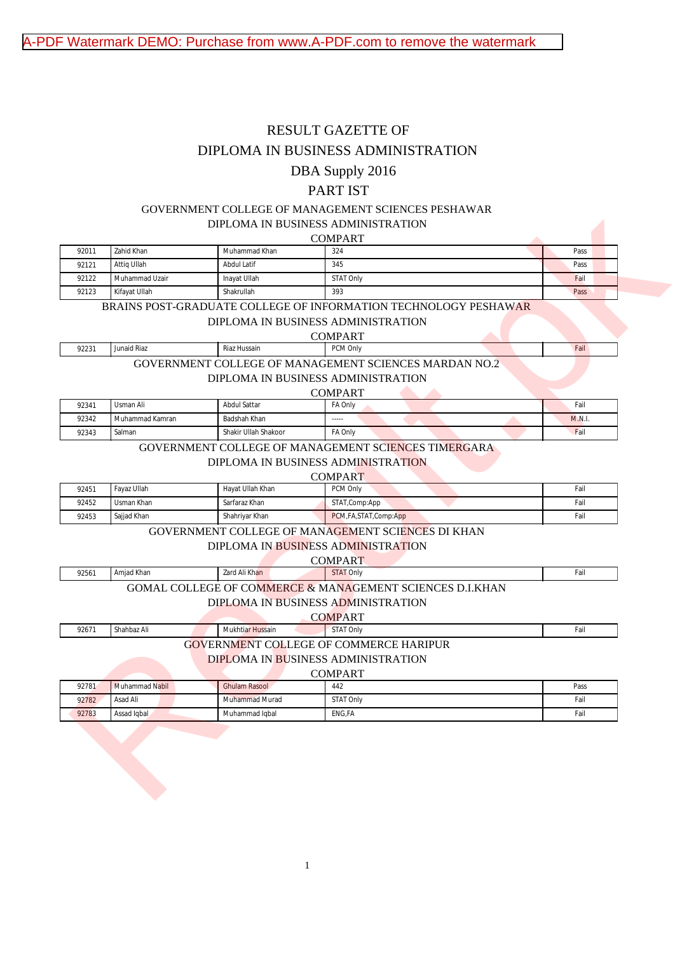# RESULT GAZETTE OF

## DIPLOMA IN BUSINESS ADMINISTRATION

## DBA Supply 2016

# PART IST

# GOVERNMENT COLLEGE OF MANAGEMENT SCIENCES PESHAWAR DIPLOMA IN BUSINESS ADMINISTRATION

### COMPART

|                         | Zahid Khan              | Muhammad Khan                           | <b>COMPART</b><br>324                                                                                 | Pass         |
|-------------------------|-------------------------|-----------------------------------------|-------------------------------------------------------------------------------------------------------|--------------|
| 92011<br>92121          | Attiq Ullah             | <b>Abdul Latif</b>                      | 345                                                                                                   | Pass         |
| 92122                   | Muhammad Uzair          | Inayat Ullah                            | <b>STAT Only</b>                                                                                      | Fail         |
| 92123                   | Kifayat Ullah           | Shakrullah                              | 393                                                                                                   | Pass         |
|                         |                         |                                         |                                                                                                       |              |
|                         |                         |                                         | BRAINS POST-GRADUATE COLLEGE OF INFORMATION TECHNOLOGY PESHAWAR<br>DIPLOMA IN BUSINESS ADMINISTRATION |              |
|                         |                         |                                         |                                                                                                       |              |
| 92231                   | Junaid Riaz             | Riaz Hussain                            | <b>COMPART</b><br>PCM Only                                                                            | Fail         |
|                         |                         |                                         |                                                                                                       |              |
|                         |                         |                                         | <b>GOVERNMENT COLLEGE OF MANAGEMENT SCIENCES MARDAN NO.2</b>                                          |              |
|                         |                         |                                         | DIPLOMA IN BUSINESS ADMINISTRATION                                                                    |              |
|                         | Usman Ali               | <b>Abdul Sattar</b>                     | <b>COMPART</b>                                                                                        | Fail         |
| 92341<br>92342          | Muhammad Kamran         | <b>Badshah Khan</b>                     | FA Only                                                                                               | M.N.I.       |
| 92343                   | Salman                  | Shakir Ullah Shakoor                    | FA Only                                                                                               | Fail         |
|                         |                         |                                         | <b>GOVERNMENT COLLEGE OF MANAGEMENT SCIENCES TIMERGARA</b>                                            |              |
|                         |                         |                                         |                                                                                                       |              |
|                         |                         |                                         | DIPLOMA IN BUSINESS ADMINISTRATION                                                                    |              |
|                         |                         |                                         |                                                                                                       |              |
|                         |                         |                                         | <b>COMPART</b>                                                                                        |              |
|                         | Fayaz Ullah             | Hayat Ullah Khan                        | PCM Only                                                                                              | Fail         |
|                         | Usman Khan              | Sarfaraz Khan                           | STAT, Comp: App                                                                                       | Fail         |
| 92451<br>92452<br>92453 | Sajjad Khan             | Shahriyar Khan                          | PCM, FA, STAT, Comp: App                                                                              | Fail         |
|                         |                         |                                         | GOVERNMENT COLLEGE OF MANAGEMENT SCIENCES DI KHAN                                                     |              |
|                         |                         |                                         | DIPLOMA IN BUSINESS ADMINISTRATION                                                                    |              |
|                         |                         |                                         | <b>COMPART</b>                                                                                        |              |
| 92561                   | Amjad Khan              | Zard Ali Khan                           | <b>STAT Only</b>                                                                                      | Fail         |
|                         |                         |                                         | <b>GOMAL COLLEGE OF COMMERCE &amp; MANAGEMENT SCIENCES D.I.KHAN</b>                                   |              |
|                         |                         |                                         | DIPLOMA IN BUSINESS ADMINISTRATION                                                                    |              |
|                         |                         |                                         | <b>COMPART</b>                                                                                        |              |
| 92671                   | Shahbaz Ali             | <b>Mukhtiar Hussain</b>                 | <b>STAT Only</b>                                                                                      | Fail         |
|                         |                         |                                         | <b>GOVERNMENT COLLEGE OF COMMERCE HARIPUR</b>                                                         |              |
|                         |                         |                                         | DIPLOMA IN BUSINESS ADMINISTRATION                                                                    |              |
|                         |                         |                                         | <b>COMPART</b>                                                                                        |              |
| 92781                   | Muhammad Nabil          | <b>Ghulam Rasool</b>                    | 442                                                                                                   | Pass         |
| 92782<br>92783          | Asad Ali<br>Assad Iqbal | <b>Muhammad Murad</b><br>Muhammad Iqbal | <b>STAT Only</b><br>ENG, FA                                                                           | Fail<br>Fail |

#### DIPLOMA IN BUSINESS ADMINISTRATION

# GOVERNMENT COLLEGE OF MANAGEMENT SCIENCES MARDAN NO.2

### COMPART

| 92341 | ∪sman Ali       | Abdul Sattar         | -<br>. Only | Fail                         |
|-------|-----------------|----------------------|-------------|------------------------------|
| 92342 | Muhammad Kamran | Badshah Khan         | $--- -$     | $-0.373$<br><b>IVI.IV.L.</b> |
| 92343 | salman          | Shakir Ullah Shakoor | . A Only    | rail                         |

# GOVERNMENT COLLEGE OF MANAGEMENT SCIENCES TIMERGARA

### DIPLOMA IN BUSINESS ADMINISTRATION

|       | <b>COMPART</b> |                  |                          |      |  |  |  |
|-------|----------------|------------------|--------------------------|------|--|--|--|
| 92451 | Favaz Ullah    | Havat Ullah Khan | PCM Only                 | Fail |  |  |  |
| 92452 | Usman Khan     | Sarfaraz Khan    | STAT,Comp:App            | Fail |  |  |  |
| 92453 | Sajjad Khan    | Shahrivar Khan   | PCM, FA, STAT, Comp: App | Fail |  |  |  |

### GOVERNMENT COLLEGE OF MANAGEMENT SCIENCES DI KHAN

#### DIPLOMA IN BUSINESS ADMINISTRATION

# GOMAL COLLEGE OF COMMERCE & MANAGEMENT SCIENCES D.I.KHAN

### DIPLOMA IN BUSINESS ADMINISTRATION

### 92671 Shahbaz Ali **Statistical Mukhtiar Hussain** STAT Only Fail Statistic Control of Tail Statistic Control of Tai GOVERNMENT COLLEGE OF COMMERCE HARIPUR

### $COMDAP$

| 92781 | Muhammad Nabil | CUMITAN I<br>Ghulam Rasool | 442              | Pass |
|-------|----------------|----------------------------|------------------|------|
| 92782 | Asad Ali       | Muhammad Murad             | <b>STAT Only</b> | Fail |
| 92783 | Assad Iqbal    | Muhammad Iqbal             | ENG,FA           | Fail |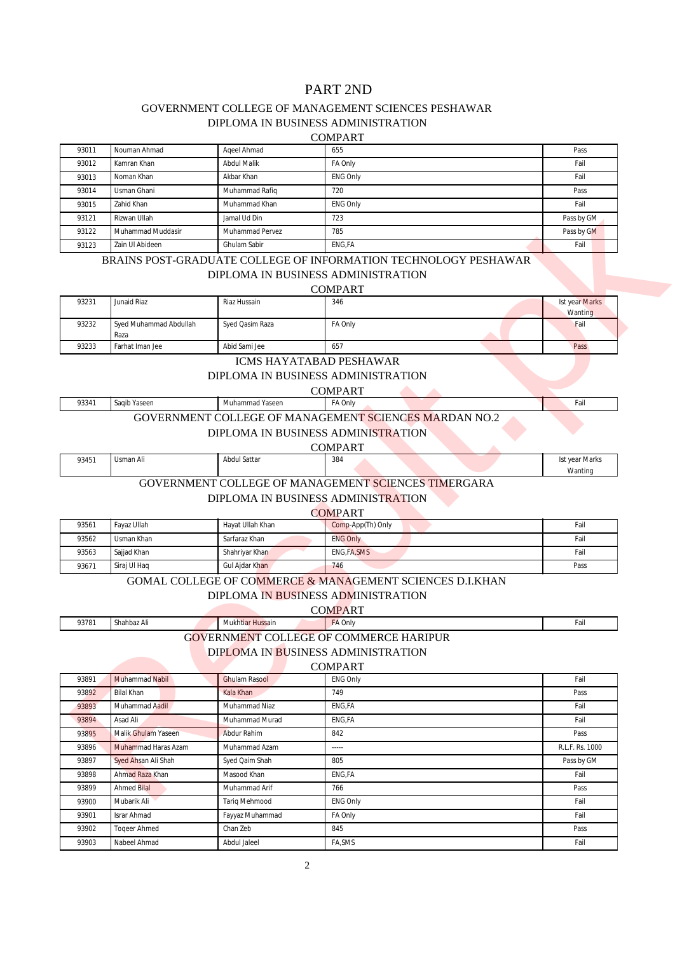# PART 2ND

# GOVERNMENT COLLEGE OF MANAGEMENT SCIENCES PESHAWAR

DIPLOMA IN BUSINESS ADMINISTRATION

### COMPART

| 93011 | Nouman Ahmad      | Ageel Ahmad            | 655             | Pass       |
|-------|-------------------|------------------------|-----------------|------------|
| 93012 | Kamran Khan       | <b>Abdul Malik</b>     | FA Only         | Fail       |
| 93013 | Noman Khan        | Akbar Khan             | <b>ENG Only</b> | Fail       |
| 93014 | Usman Ghani       | Muhammad Rafiq         | 720             | Pass       |
| 93015 | Zahid Khan        | Muhammad Khan          | <b>ENG Only</b> | Fail       |
| 93121 | Rizwan Ullah      | Jamal Ud Din           | 723             | Pass by GM |
| 93122 | Muhammad Muddasir | <b>Muhammad Pervez</b> | 785             | Pass by GM |
| 93123 | Zain Ul Abideen   | Ghulam Sabir           | <b>ENG.FA</b>   | Fail       |

# BRAINS POST-GRADUATE COLLEGE OF INFORMATION TECHNOLOGY PESHAWAR DIPLOMA IN BUSINESS ADMINISTRATION

| 93231 | <b>Junaid Riaz</b>     | Riaz Hussain    | 346     | <b>Ist year Marks</b> |  |  |
|-------|------------------------|-----------------|---------|-----------------------|--|--|
|       |                        |                 |         | <b>Wanting</b>        |  |  |
| 93232 | Sved Muhammad Abdullah | Syed Qasim Raza | FA Only | Fail                  |  |  |
|       | Raza                   |                 |         |                       |  |  |
| 93233 | Farhat Iman Jee        | Abid Sami Jee   | 657     | Pass                  |  |  |
|       |                        |                 |         |                       |  |  |

### ICMS HAYATABAD PESHAWAR

### GOVERNMENT COLLEGE OF MANAGEMENT SCIENCES MARDAN NO.2

### COMPART

| 93451 | Usman Ali | Abdul Sattar | $\sim$ $\sim$<br>384 |  |  |  | st vear Marks |  |
|-------|-----------|--------------|----------------------|--|--|--|---------------|--|
|       |           |              |                      |  |  |  | Wanting       |  |
|       |           |              |                      |  |  |  |               |  |

# GOVERNMENT COLLEGE OF MANAGEMENT SCIENCES TIMERGARA

| COMPART |              |                  |                   |      |  |  |
|---------|--------------|------------------|-------------------|------|--|--|
| 93561   | Favaz Ullah  | Havat Ullah Khan | Comp-App(Th) Only | Fail |  |  |
| 93562   | Usman Khan   | Sarfaraz Khan    | <b>ENG Only</b>   | Fail |  |  |
| 93563   | Sajjad Khan  | Shahrivar Khan   | ENG.FA.SMS        | Fail |  |  |
| 93671   | Siraj Ul Haq | Gul Ajdar Khan   | 746               | Pass |  |  |

# GOMAL COLLEGE OF COMMERCE & MANAGEMENT SCIENCES D.I.KHAN

### DIPLOMA IN BUSINESS ADMINISTRATION

| COMPART                                   |             |                  |           |                      |  |  |  |
|-------------------------------------------|-------------|------------------|-----------|----------------------|--|--|--|
| 93781                                     | Shahbaz Ali | Mukhtiar Hussain | $FA$ Only | $\mathbf{r}$<br>Fail |  |  |  |
| COUFDAR JENTE COLLEGE OF COUNTROL HARDIED |             |                  |           |                      |  |  |  |

### GOVERNMENT COLLEGE OF COMMERCE HARIPUR

# DIPLOMA IN BUSINESS ADMINISTRATION

| 93015 | Zahid Khan                     | Muhammad Khan                      | <b>ENG Only</b>                                                 | Fail                  |
|-------|--------------------------------|------------------------------------|-----------------------------------------------------------------|-----------------------|
| 93121 | Rizwan Ullah                   | Jamal Ud Din                       | 723                                                             | Pass by GM            |
| 93122 | Muhammad Muddasir              | Muhammad Pervez                    | 785                                                             | Pass by GM            |
| 93123 | Zain Ul Abideen                | <b>Ghulam Sabir</b>                | ENG, FA                                                         | Fail                  |
|       |                                |                                    | BRAINS POST-GRADUATE COLLEGE OF INFORMATION TECHNOLOGY PESHAWAR |                       |
|       |                                | DIPLOMA IN BUSINESS ADMINISTRATION |                                                                 |                       |
|       |                                |                                    | <b>COMPART</b>                                                  |                       |
| 93231 | Junaid Riaz                    | Riaz Hussain                       | 346                                                             | <b>Ist year Marks</b> |
|       |                                |                                    |                                                                 | Wanting               |
| 93232 | Syed Muhammad Abdullah         | Syed Qasim Raza                    | FA Only                                                         | Fail                  |
| 93233 | Raza<br><b>Farhat Iman Jee</b> | Abid Sami Jee                      | 657                                                             | Pass                  |
|       |                                | <b>ICMS HAYATABAD PESHAWAR</b>     |                                                                 |                       |
|       |                                |                                    |                                                                 |                       |
|       |                                | DIPLOMA IN BUSINESS ADMINISTRATION |                                                                 |                       |
|       |                                | <b>Muhammad Yaseen</b>             | <b>COMPART</b>                                                  |                       |
| 93341 | Saqib Yaseen                   |                                    | FA Only                                                         | Fail                  |
|       |                                |                                    | <b>GOVERNMENT COLLEGE OF MANAGEMENT SCIENCES MARDAN NO.2</b>    |                       |
|       |                                | DIPLOMA IN BUSINESS ADMINISTRATION |                                                                 |                       |
|       |                                |                                    | <b>COMPART</b>                                                  |                       |
| 93451 | Usman Ali                      | <b>Abdul Sattar</b>                | 384                                                             | <b>Ist year Marks</b> |
|       |                                |                                    | GOVERNMENT COLLEGE OF MANAGEMENT SCIENCES TIMERGARA             | Wanting               |
|       |                                | DIPLOMA IN BUSINESS ADMINISTRATION |                                                                 |                       |
|       |                                |                                    |                                                                 |                       |
|       | Fayaz Ullah                    | Hayat Ullah Khan                   | <b>COMPART</b>                                                  | Fail                  |
| 93561 | <b>Usman Khan</b>              | Sarfaraz Khan                      | Comp-App(Th) Only<br><b>ENG Only</b>                            | Fail                  |
| 93562 | Sajjad Khan                    | Shahriyar Khan                     | <b>ENG, FA, SMS</b>                                             | Fail                  |
| 93563 | Siraj Ul Haq                   | Gul Ajdar Khan                     | 746                                                             | Pass                  |
| 93671 |                                |                                    |                                                                 |                       |
|       |                                |                                    | GOMAL COLLEGE OF COMMERCE & MANAGEMENT SCIENCES D.I.KHAN        |                       |
|       |                                | DIPLOMA IN BUSINESS ADMINISTRATION |                                                                 |                       |
|       |                                |                                    | <b>COMPART</b>                                                  |                       |
| 93781 | Shahbaz Ali                    | <b>Mukhtiar Hussain</b>            | FA Only                                                         | Fail                  |
|       |                                |                                    | <b>GOVERNMENT COLLEGE OF COMMERCE HARIPUR</b>                   |                       |
|       |                                | DIPLOMA IN BUSINESS ADMINISTRATION |                                                                 |                       |
|       |                                |                                    | <b>COMPART</b>                                                  |                       |
| 93891 | <b>Muhammad Nabil</b>          | <b>Ghulam Rasool</b>               | <b>ENG Only</b>                                                 | Fail                  |
| 93892 | <b>Bilal Khan</b>              | <b>Kala Khan</b>                   | 749                                                             | Pass                  |
| 93893 | Muhammad Aadil                 | Muhammad Niaz                      | ENG, FA                                                         | Fail                  |
| 93894 | Asad Ali                       | Muhammad Murad                     | ENG, FA                                                         | Fail                  |
| 93895 | <b>Malik Ghulam Yaseen</b>     | Abdur Rahim                        | 842                                                             | Pass                  |
| 93896 | Muhammad Haras Azam            | Muhammad Azam                      | $\frac{1}{2}$                                                   | R.L.F. Rs. 1000       |
| 93897 | Syed Ahsan Ali Shah            | Syed Qaim Shah                     | 805                                                             | Pass by GM            |
| 93898 | Ahmad Raza Khan                | Masood Khan                        | ENG, FA                                                         | Fail                  |
| 93899 | <b>Ahmed Bilal</b>             | Muhammad Arif                      | 766                                                             | Pass                  |
| 93900 | Mubarik Ali                    | Tariq Mehmood                      | <b>ENG Only</b>                                                 | Fail                  |
| 93901 | Israr Ahmad                    | Fayyaz Muhammad                    | FA Only                                                         | Fail                  |
| 93902 | <b>Togeer Ahmed</b>            | Chan Zeb                           | 845                                                             | Pass                  |
| 93903 | Nabeel Ahmad                   | Abdul Jaleel                       | FA, SMS                                                         | Fail                  |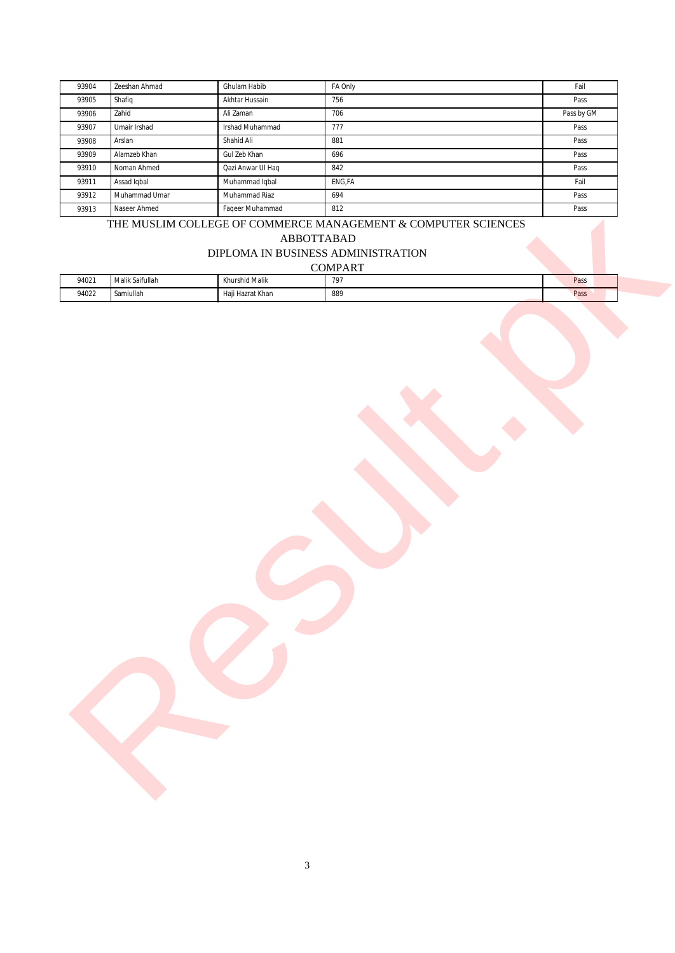| 93904 | Zeeshan Ahmad | Ghulam Habib      | FA Only | Fail       |
|-------|---------------|-------------------|---------|------------|
| 93905 | Shafiq        | Akhtar Hussain    | 756     | Pass       |
| 93906 | Zahid         | Ali Zaman         | 706     | Pass by GM |
| 93907 | Umair Irshad  | Irshad Muhammad   | 777     | Pass       |
| 93908 | Arslan        | Shahid Ali        | 881     | Pass       |
| 93909 | Alamzeb Khan  | Gul Zeb Khan      | 696     | Pass       |
| 93910 | Noman Ahmed   | Qazi Anwar Ul Haq | 842     | Pass       |
| 93911 | Assad Iqbal   | Muhammad Iqbal    | ENG, FA | Fail       |
| 93912 | Muhammad Umar | Muhammad Riaz     | 694     | Pass       |
| 93913 | Naseer Ahmed  | Faqeer Muhammad   | 812     | Pass       |

# THE MUSLIM COLLEGE OF COMMERCE MANAGEMENT & COMPUTER SCIENCES

# DIPLOMA IN BUSINESS ADMINISTRATION

| <b>COMPART</b> |  |  |
|----------------|--|--|
|                |  |  |

| 93912                              | Muhammad Umar   | Muhammad Riaz    | 694                                                              | Pass |
|------------------------------------|-----------------|------------------|------------------------------------------------------------------|------|
| 93913                              | Naseer Ahmed    | Faqeer Muhammad  | 812                                                              | Pass |
|                                    |                 |                  | THE MUSLIM COLLEGE OF COMMERCE MANAGEMENT $\&$ COMPUTER SCIENCES |      |
| ABBOTTABAD                         |                 |                  |                                                                  |      |
| DIPLOMA IN BUSINESS ADMINISTRATION |                 |                  |                                                                  |      |
| <b>COMPART</b>                     |                 |                  |                                                                  |      |
| 94021                              | Malik Saifullah | Khurshid Malik   | 797                                                              | Pass |
| 94022                              | Samiullah       | Haji Hazrat Khan | 889                                                              | Pass |
|                                    |                 |                  |                                                                  |      |